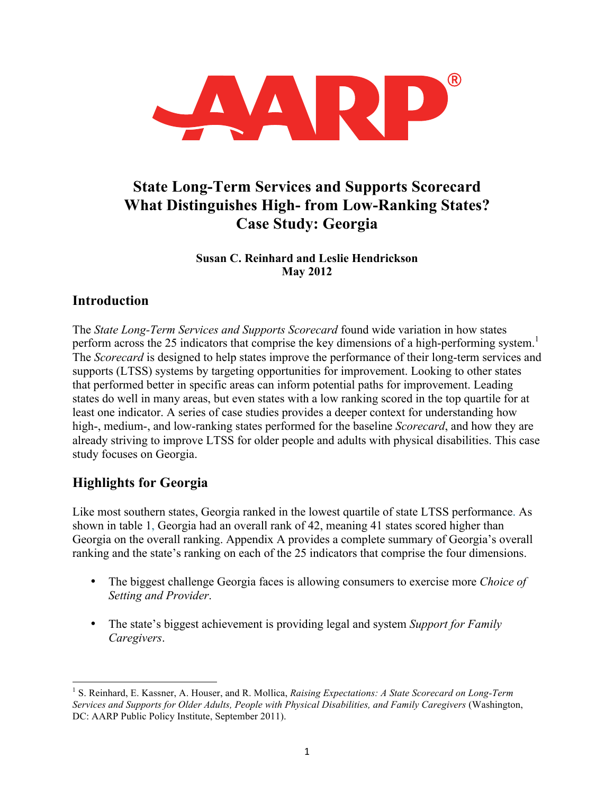

# **State Long-Term Services and Supports Scorecard What Distinguishes High- from Low-Ranking States? Case Study: Georgia**

#### **Susan C. Reinhard and Leslie Hendrickson May 2012**

### **Introduction**

The *State Long-Term Services and Supports Scorecard* found wide variation in how states perform across the 25 indicators that comprise the key dimensions of a high-performing system.<sup>1</sup> The *Scorecard* is designed to help states improve the performance of their long-term services and supports (LTSS) systems by targeting opportunities for improvement. Looking to other states that performed better in specific areas can inform potential paths for improvement. Leading states do well in many areas, but even states with a low ranking scored in the top quartile for at least one indicator. A series of case studies provides a deeper context for understanding how high-, medium-, and low-ranking states performed for the baseline *Scorecard*, and how they are already striving to improve LTSS for older people and adults with physical disabilities. This case study focuses on Georgia.

## **Highlights for Georgia**

Like most southern states, Georgia ranked in the lowest quartile of state LTSS performance. As shown in table 1, Georgia had an overall rank of 42, meaning 41 states scored higher than Georgia on the overall ranking. Appendix A provides a complete summary of Georgia's overall ranking and the state's ranking on each of the 25 indicators that comprise the four dimensions.

- The biggest challenge Georgia faces is allowing consumers to exercise more *Choice of Setting and Provider*.
- The state's biggest achievement is providing legal and system *Support for Family Caregivers*.

 <sup>1</sup> S. Reinhard, E. Kassner, A. Houser, and R. Mollica, *Raising Expectations: A State Scorecard on Long-Term Services and Supports for Older Adults, People with Physical Disabilities, and Family Caregivers* (Washington, DC: AARP Public Policy Institute, September 2011).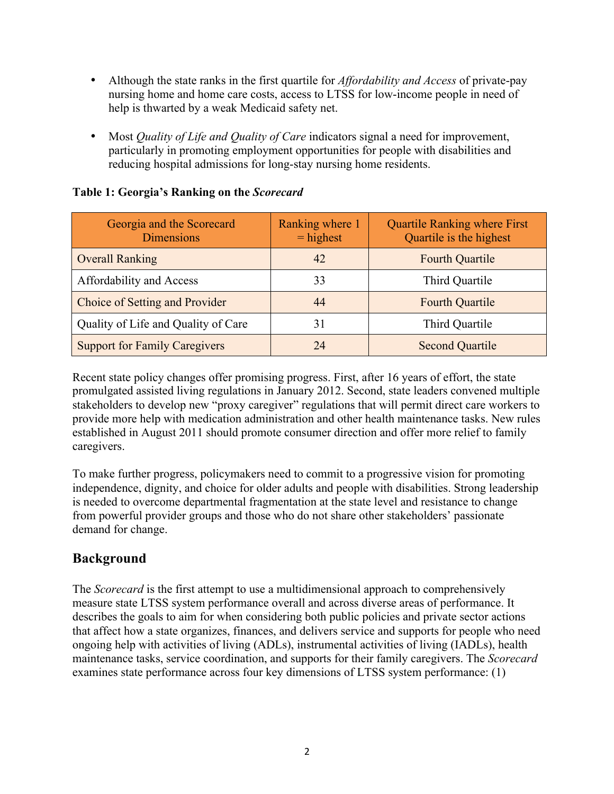- Although the state ranks in the first quartile for *Affordability and Access* of private-pay nursing home and home care costs, access to LTSS for low-income people in need of help is thwarted by a weak Medicaid safety net.
- Most *Quality of Life and Quality of Care* indicators signal a need for improvement, particularly in promoting employment opportunities for people with disabilities and reducing hospital admissions for long-stay nursing home residents.

| Georgia and the Scorecard<br><b>Dimensions</b> | Ranking where 1<br>$=$ highest | <b>Quartile Ranking where First</b><br>Quartile is the highest |
|------------------------------------------------|--------------------------------|----------------------------------------------------------------|
| <b>Overall Ranking</b>                         | 42                             | <b>Fourth Quartile</b>                                         |
| Affordability and Access                       | 33                             | Third Quartile                                                 |
| Choice of Setting and Provider                 | 44                             | <b>Fourth Quartile</b>                                         |
| Quality of Life and Quality of Care            | 31                             | Third Quartile                                                 |
| <b>Support for Family Caregivers</b>           | 24                             | <b>Second Quartile</b>                                         |

#### **Table 1: Georgia's Ranking on the** *Scorecard*

Recent state policy changes offer promising progress. First, after 16 years of effort, the state promulgated assisted living regulations in January 2012. Second, state leaders convened multiple stakeholders to develop new "proxy caregiver" regulations that will permit direct care workers to provide more help with medication administration and other health maintenance tasks. New rules established in August 2011 should promote consumer direction and offer more relief to family caregivers.

To make further progress, policymakers need to commit to a progressive vision for promoting independence, dignity, and choice for older adults and people with disabilities. Strong leadership is needed to overcome departmental fragmentation at the state level and resistance to change from powerful provider groups and those who do not share other stakeholders' passionate demand for change.

## **Background**

The *Scorecard* is the first attempt to use a multidimensional approach to comprehensively measure state LTSS system performance overall and across diverse areas of performance. It describes the goals to aim for when considering both public policies and private sector actions that affect how a state organizes, finances, and delivers service and supports for people who need ongoing help with activities of living (ADLs), instrumental activities of living (IADLs), health maintenance tasks, service coordination, and supports for their family caregivers. The *Scorecard* examines state performance across four key dimensions of LTSS system performance: (1)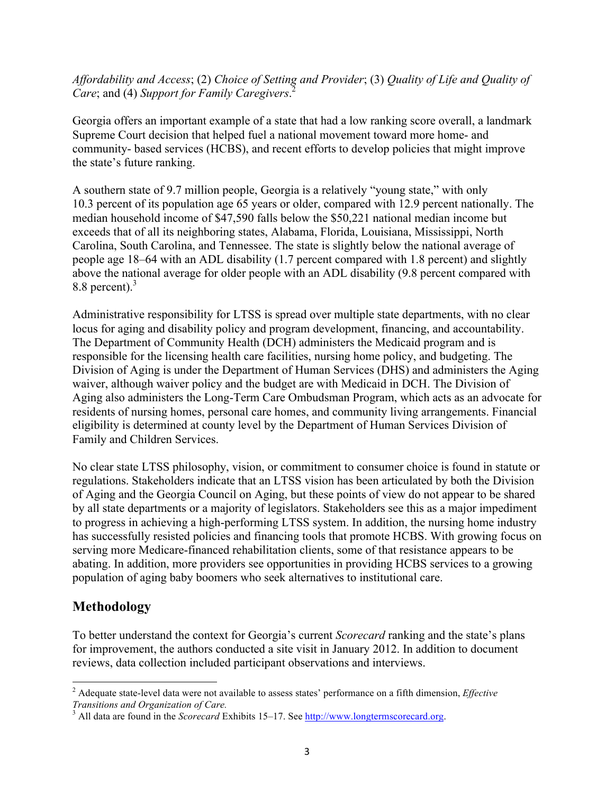*Affordability and Access*; (2) *Choice of Setting and Provider*; (3) *Quality of Life and Quality of Care*; and (4) *Support for Family Caregivers*. 2

Georgia offers an important example of a state that had a low ranking score overall, a landmark Supreme Court decision that helped fuel a national movement toward more home- and community- based services (HCBS), and recent efforts to develop policies that might improve the state's future ranking.

A southern state of 9.7 million people, Georgia is a relatively "young state," with only 10.3 percent of its population age 65 years or older, compared with 12.9 percent nationally. The median household income of \$47,590 falls below the \$50,221 national median income but exceeds that of all its neighboring states, Alabama, Florida, Louisiana, Mississippi, North Carolina, South Carolina, and Tennessee. The state is slightly below the national average of people age 18–64 with an ADL disability (1.7 percent compared with 1.8 percent) and slightly above the national average for older people with an ADL disability (9.8 percent compared with 8.8 percent).<sup>3</sup>

Administrative responsibility for LTSS is spread over multiple state departments, with no clear locus for aging and disability policy and program development, financing, and accountability. The Department of Community Health (DCH) administers the Medicaid program and is responsible for the licensing health care facilities, nursing home policy, and budgeting. The Division of Aging is under the Department of Human Services (DHS) and administers the Aging waiver, although waiver policy and the budget are with Medicaid in DCH. The Division of Aging also administers the Long-Term Care Ombudsman Program, which acts as an advocate for residents of nursing homes, personal care homes, and community living arrangements. Financial eligibility is determined at county level by the Department of Human Services Division of Family and Children Services.

No clear state LTSS philosophy, vision, or commitment to consumer choice is found in statute or regulations. Stakeholders indicate that an LTSS vision has been articulated by both the Division of Aging and the Georgia Council on Aging, but these points of view do not appear to be shared by all state departments or a majority of legislators. Stakeholders see this as a major impediment to progress in achieving a high-performing LTSS system. In addition, the nursing home industry has successfully resisted policies and financing tools that promote HCBS. With growing focus on serving more Medicare-financed rehabilitation clients, some of that resistance appears to be abating. In addition, more providers see opportunities in providing HCBS services to a growing population of aging baby boomers who seek alternatives to institutional care.

## **Methodology**

To better understand the context for Georgia's current *Scorecard* ranking and the state's plans for improvement, the authors conducted a site visit in January 2012. In addition to document reviews, data collection included participant observations and interviews.

 <sup>2</sup> Adequate state-level data were not available to assess states' performance on a fifth dimension, *Effective Transitions and Organization of Care.*

<sup>&</sup>lt;sup>3</sup> All data are found in the *Scorecard* Exhibits 15–17. See http://www.longtermscorecard.org.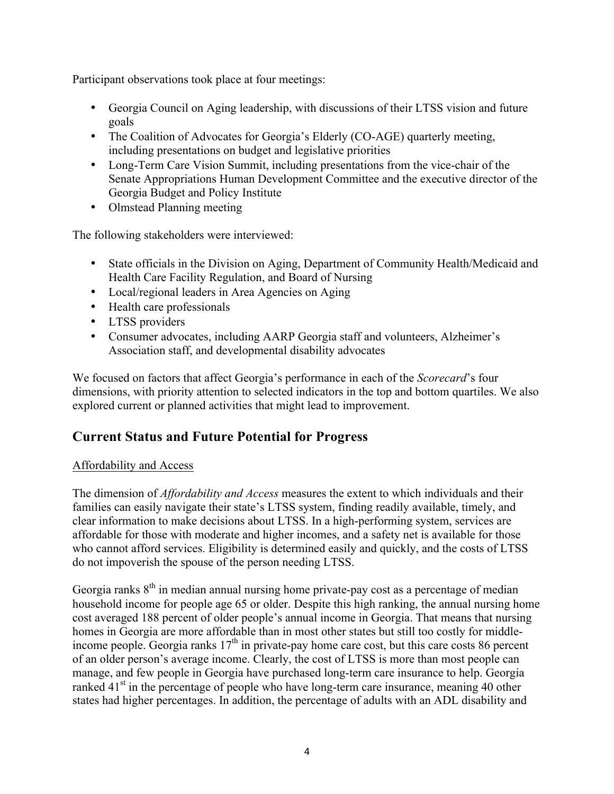Participant observations took place at four meetings:

- Georgia Council on Aging leadership, with discussions of their LTSS vision and future goals
- The Coalition of Advocates for Georgia's Elderly (CO-AGE) quarterly meeting, including presentations on budget and legislative priorities
- Long-Term Care Vision Summit, including presentations from the vice-chair of the Senate Appropriations Human Development Committee and the executive director of the Georgia Budget and Policy Institute
- Olmstead Planning meeting

The following stakeholders were interviewed:

- State officials in the Division on Aging, Department of Community Health/Medicaid and Health Care Facility Regulation, and Board of Nursing
- Local/regional leaders in Area Agencies on Aging
- Health care professionals
- LTSS providers
- Consumer advocates, including AARP Georgia staff and volunteers, Alzheimer's Association staff, and developmental disability advocates

We focused on factors that affect Georgia's performance in each of the *Scorecard*'s four dimensions, with priority attention to selected indicators in the top and bottom quartiles. We also explored current or planned activities that might lead to improvement.

## **Current Status and Future Potential for Progress**

#### Affordability and Access

The dimension of *Affordability and Access* measures the extent to which individuals and their families can easily navigate their state's LTSS system, finding readily available, timely, and clear information to make decisions about LTSS. In a high-performing system, services are affordable for those with moderate and higher incomes, and a safety net is available for those who cannot afford services. Eligibility is determined easily and quickly, and the costs of LTSS do not impoverish the spouse of the person needing LTSS.

Georgia ranks  $8<sup>th</sup>$  in median annual nursing home private-pay cost as a percentage of median household income for people age 65 or older. Despite this high ranking, the annual nursing home cost averaged 188 percent of older people's annual income in Georgia. That means that nursing homes in Georgia are more affordable than in most other states but still too costly for middleincome people. Georgia ranks  $17<sup>th</sup>$  in private-pay home care cost, but this care costs 86 percent of an older person's average income. Clearly, the cost of LTSS is more than most people can manage, and few people in Georgia have purchased long-term care insurance to help. Georgia ranked  $41<sup>st</sup>$  in the percentage of people who have long-term care insurance, meaning 40 other states had higher percentages. In addition, the percentage of adults with an ADL disability and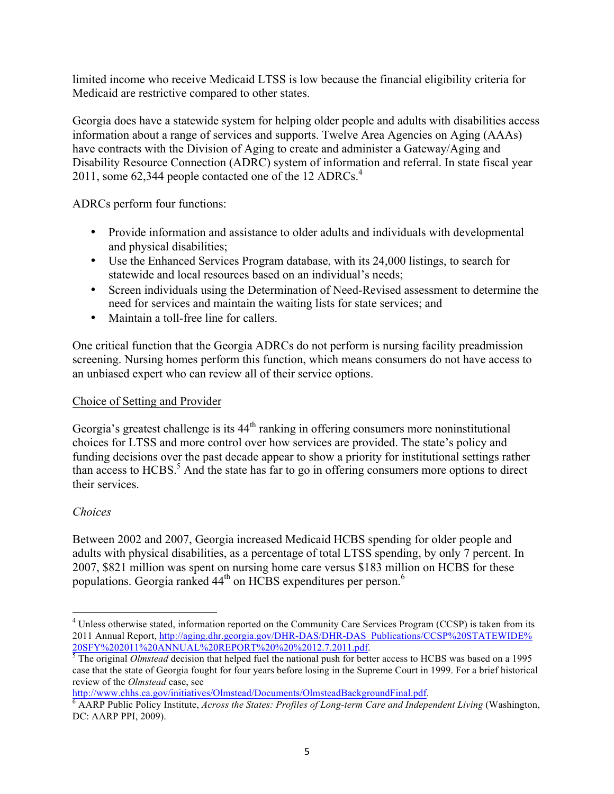limited income who receive Medicaid LTSS is low because the financial eligibility criteria for Medicaid are restrictive compared to other states.

Georgia does have a statewide system for helping older people and adults with disabilities access information about a range of services and supports. Twelve Area Agencies on Aging (AAAs) have contracts with the Division of Aging to create and administer a Gateway/Aging and Disability Resource Connection (ADRC) system of information and referral. In state fiscal year 2011, some 62,344 people contacted one of the 12 ADRCs. $4$ 

ADRCs perform four functions:

- Provide information and assistance to older adults and individuals with developmental and physical disabilities;
- Use the Enhanced Services Program database, with its 24,000 listings, to search for statewide and local resources based on an individual's needs;
- Screen individuals using the Determination of Need-Revised assessment to determine the need for services and maintain the waiting lists for state services; and
- Maintain a toll-free line for callers.

One critical function that the Georgia ADRCs do not perform is nursing facility preadmission screening. Nursing homes perform this function, which means consumers do not have access to an unbiased expert who can review all of their service options.

#### Choice of Setting and Provider

Georgia's greatest challenge is its 44<sup>th</sup> ranking in offering consumers more noninstitutional choices for LTSS and more control over how services are provided. The state's policy and funding decisions over the past decade appear to show a priority for institutional settings rather than access to  $HCBS$ <sup>5</sup>. And the state has far to go in offering consumers more options to direct their services.

#### *Choices*

Between 2002 and 2007, Georgia increased Medicaid HCBS spending for older people and adults with physical disabilities, as a percentage of total LTSS spending, by only 7 percent. In 2007, \$821 million was spent on nursing home care versus \$183 million on HCBS for these populations. Georgia ranked 44<sup>th</sup> on HCBS expenditures per person.<sup>6</sup>

<sup>&</sup>lt;sup>4</sup> Unless otherwise stated, information reported on the Community Care Services Program (CCSP) is taken from its 2011 Annual Report, http://aging.dhr.georgia.gov/DHR-DAS/DHR-DAS\_Publications/CCSP%20STATEWIDE%<br>20SFY%202011%20ANNUAL%20REPORT%20%20%2012.7.2011.pdf.

 $\frac{3}{5}$ The original *Olmstead* decision that helped fuel the national push for better access to HCBS was based on a 1995 case that the state of Georgia fought for four years before losing in the Supreme Court in 1999. For a brief historical review of the *Olmstead* case, see

http://www.chhs.ca.gov/initiatives/Olmstead/Documents/OlmsteadBackgroundFinal.pdf. 6 AARP Public Policy Institute, *Across the States: Profiles of Long-term Care and Independent Living* (Washington, DC: AARP PPI, 2009).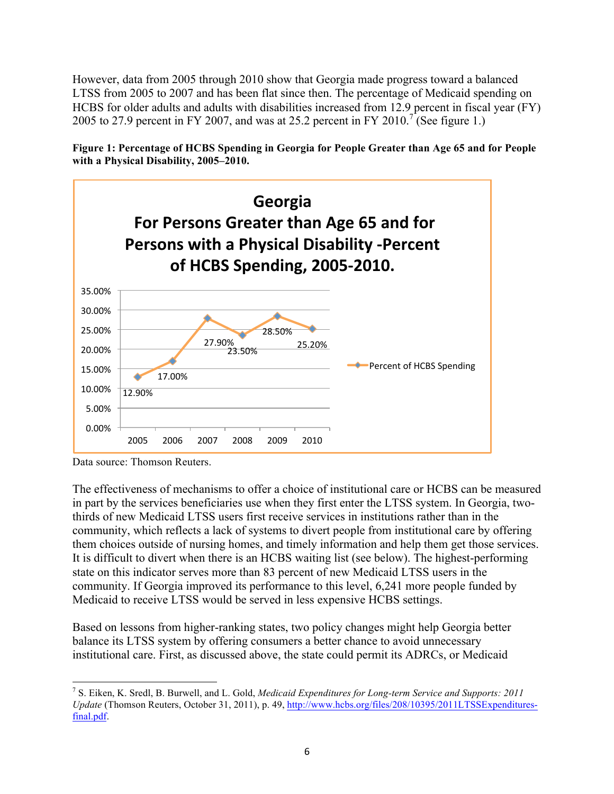However, data from 2005 through 2010 show that Georgia made progress toward a balanced LTSS from 2005 to 2007 and has been flat since then. The percentage of Medicaid spending on HCBS for older adults and adults with disabilities increased from 12.9 percent in fiscal year (FY) 2005 to 27.9 percent in FY 2007, and was at 25.2 percent in FY 2010.<sup>7</sup> (See figure 1.)





Data source: Thomson Reuters.

The effectiveness of mechanisms to offer a choice of institutional care or HCBS can be measured in part by the services beneficiaries use when they first enter the LTSS system. In Georgia, twothirds of new Medicaid LTSS users first receive services in institutions rather than in the community, which reflects a lack of systems to divert people from institutional care by offering them choices outside of nursing homes, and timely information and help them get those services. It is difficult to divert when there is an HCBS waiting list (see below). The highest-performing state on this indicator serves more than 83 percent of new Medicaid LTSS users in the community. If Georgia improved its performance to this level, 6,241 more people funded by Medicaid to receive LTSS would be served in less expensive HCBS settings.

Based on lessons from higher-ranking states, two policy changes might help Georgia better balance its LTSS system by offering consumers a better chance to avoid unnecessary institutional care. First, as discussed above, the state could permit its ADRCs, or Medicaid

 <sup>7</sup> S. Eiken, K. Sredl, B. Burwell, and L. Gold, *Medicaid Expenditures for Long-term Service and Supports: 2011 Update* (Thomson Reuters, October 31, 2011), p. 49, http://www.hcbs.org/files/208/10395/2011LTSSExpendituresfinal.pdf.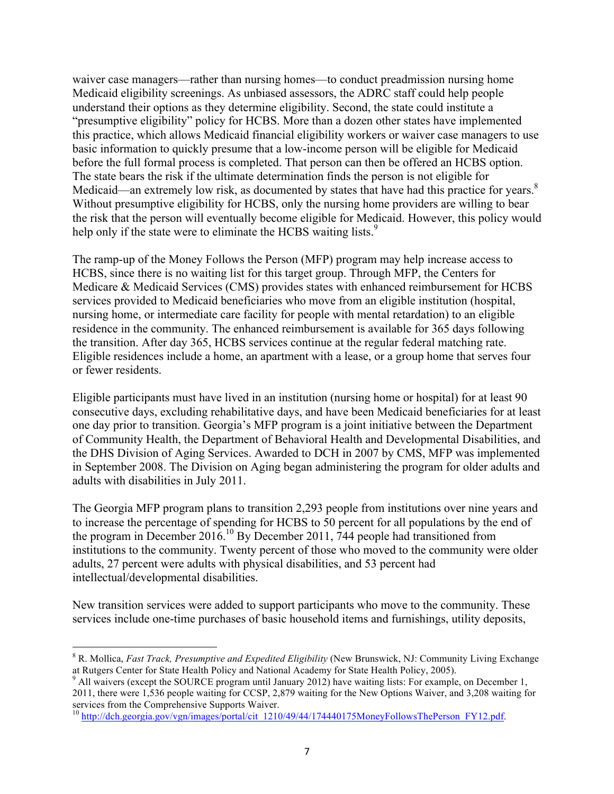waiver case managers—rather than nursing homes—to conduct preadmission nursing home Medicaid eligibility screenings. As unbiased assessors, the ADRC staff could help people understand their options as they determine eligibility. Second, the state could institute a "presumptive eligibility" policy for HCBS. More than a dozen other states have implemented this practice, which allows Medicaid financial eligibility workers or waiver case managers to use basic information to quickly presume that a low-income person will be eligible for Medicaid before the full formal process is completed. That person can then be offered an HCBS option. The state bears the risk if the ultimate determination finds the person is not eligible for Medicaid—an extremely low risk, as documented by states that have had this practice for years.<sup>8</sup> Without presumptive eligibility for HCBS, only the nursing home providers are willing to bear the risk that the person will eventually become eligible for Medicaid. However, this policy would help only if the state were to eliminate the HCBS waiting lists.<sup>9</sup>

The ramp-up of the Money Follows the Person (MFP) program may help increase access to HCBS, since there is no waiting list for this target group. Through MFP, the Centers for Medicare & Medicaid Services (CMS) provides states with enhanced reimbursement for HCBS services provided to Medicaid beneficiaries who move from an eligible institution (hospital, nursing home, or intermediate care facility for people with mental retardation) to an eligible residence in the community. The enhanced reimbursement is available for 365 days following the transition. After day 365, HCBS services continue at the regular federal matching rate. Eligible residences include a home, an apartment with a lease, or a group home that serves four or fewer residents.

Eligible participants must have lived in an institution (nursing home or hospital) for at least 90 consecutive days, excluding rehabilitative days, and have been Medicaid beneficiaries for at least one day prior to transition. Georgia's MFP program is a joint initiative between the Department of Community Health, the Department of Behavioral Health and Developmental Disabilities, and the DHS Division of Aging Services. Awarded to DCH in 2007 by CMS, MFP was implemented in September 2008. The Division on Aging began administering the program for older adults and adults with disabilities in July 2011.

The Georgia MFP program plans to transition 2,293 people from institutions over nine years and to increase the percentage of spending for HCBS to 50 percent for all populations by the end of the program in December 2016.10 By December 2011, 744 people had transitioned from institutions to the community. Twenty percent of those who moved to the community were older adults, 27 percent were adults with physical disabilities, and 53 percent had intellectual/developmental disabilities.

New transition services were added to support participants who move to the community. These services include one-time purchases of basic household items and furnishings, utility deposits,

 <sup>8</sup> R. Mollica, *Fast Track, Presumptive and Expedited Eligibility* (New Brunswick, NJ: Community Living Exchange at Rutgers Center for State Health Policy and National Academy for State Health Policy, 2005).

<sup>&</sup>lt;sup>9</sup> All waivers (except the SOURCE program until January 2012) have waiting lists: For example, on December 1, 2011, there were 1,536 people waiting for CCSP, 2,879 waiting for the New Options Waiver, and 3,208 waiting for

 $^{10}$  http://dch.georgia.gov/vgn/images/portal/cit\_1210/49/44/174440175MoneyFollowsThePerson\_FY12.pdf.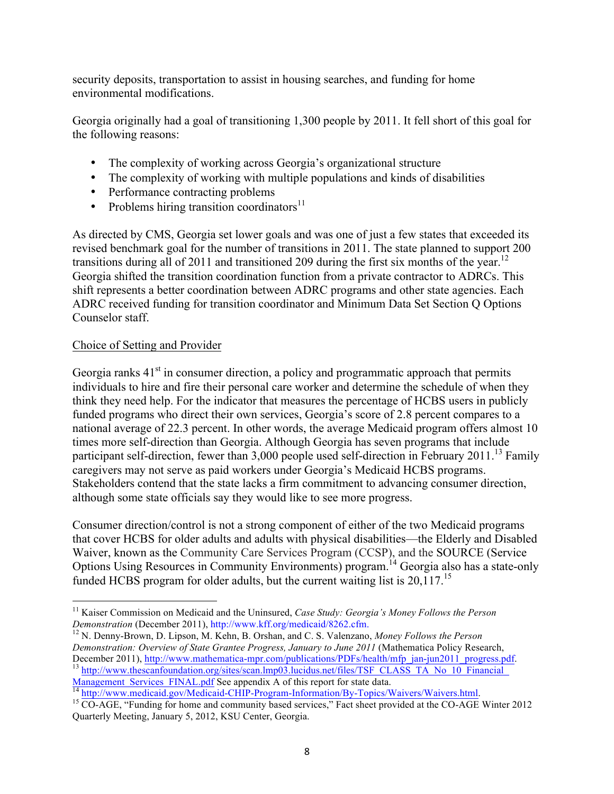security deposits, transportation to assist in housing searches, and funding for home environmental modifications.

Georgia originally had a goal of transitioning 1,300 people by 2011. It fell short of this goal for the following reasons:

- The complexity of working across Georgia's organizational structure
- The complexity of working with multiple populations and kinds of disabilities
- Performance contracting problems
- Problems hiring transition coordinators $11$

As directed by CMS, Georgia set lower goals and was one of just a few states that exceeded its revised benchmark goal for the number of transitions in 2011. The state planned to support 200 transitions during all of 2011 and transitioned 209 during the first six months of the year.<sup>12</sup> Georgia shifted the transition coordination function from a private contractor to ADRCs. This shift represents a better coordination between ADRC programs and other state agencies. Each ADRC received funding for transition coordinator and Minimum Data Set Section Q Options Counselor staff.

#### Choice of Setting and Provider

Georgia ranks  $41<sup>st</sup>$  in consumer direction, a policy and programmatic approach that permits individuals to hire and fire their personal care worker and determine the schedule of when they think they need help. For the indicator that measures the percentage of HCBS users in publicly funded programs who direct their own services, Georgia's score of 2.8 percent compares to a national average of 22.3 percent. In other words, the average Medicaid program offers almost 10 times more self-direction than Georgia. Although Georgia has seven programs that include participant self-direction, fewer than 3,000 people used self-direction in February 2011.<sup>13</sup> Family caregivers may not serve as paid workers under Georgia's Medicaid HCBS programs. Stakeholders contend that the state lacks a firm commitment to advancing consumer direction, although some state officials say they would like to see more progress.

Consumer direction/control is not a strong component of either of the two Medicaid programs that cover HCBS for older adults and adults with physical disabilities—the Elderly and Disabled Waiver, known as the Community Care Services Program (CCSP), and the SOURCE (Service Options Using Resources in Community Environments) program.<sup>14</sup> Georgia also has a state-only funded HCBS program for older adults, but the current waiting list is 20,117.<sup>15</sup>

<sup>14</sup> http://www.medicaid.gov/Medicaid-CHIP-Program-Information/By-Topics/Waivers/Waivers.html.<br><sup>15</sup> CO-AGE, "Funding for home and community based services," Fact sheet provided at the CO-AGE Winter 2012

<sup>&</sup>lt;sup>11</sup> Kaiser Commission on Medicaid and the Uninsured, *Case Study: Georgia's Money Follows the Person Demonstration* (December 2011), http://www.kff.org/medicaid/8262.cfm.

<sup>&</sup>lt;sup>12</sup> N. Denny-Brown, D. Lipson, M. Kehn, B. Orshan, and C. S. Valenzano, *Money Follows the Person Demonstration: Overview of State Grantee Progress, January to June 2011* (Mathematica Policy Research,

December 2011), http://www.mathematica-mpr.com/publications/PDFs/health/mfp\_jan-jun2011\_progress.pdf.<br>
<sup>13</sup> http://www.thescanfoundation.org/sites/scan.lmp03.lucidus.net/files/TSF\_CLASS\_TA\_No\_10\_Financial\_<br>
Management Serv

Quarterly Meeting, January 5, 2012, KSU Center, Georgia.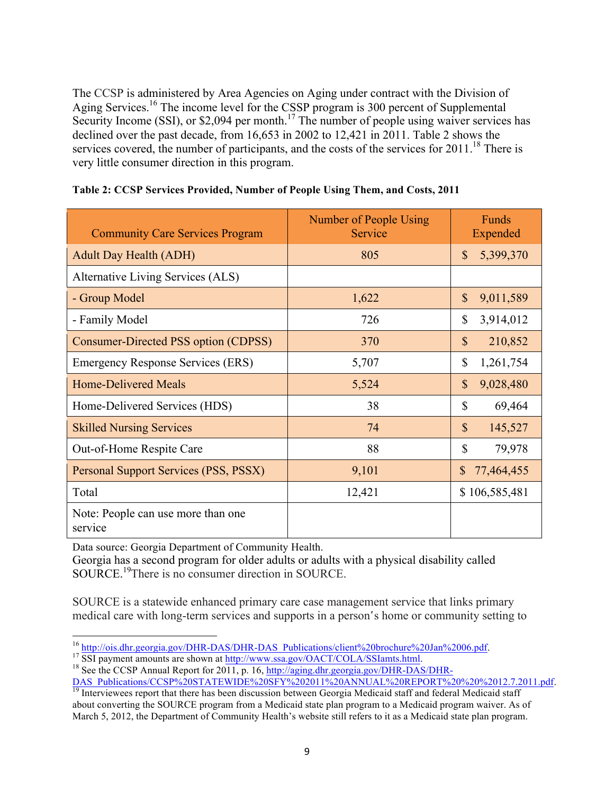The CCSP is administered by Area Agencies on Aging under contract with the Division of Aging Services.16 The income level for the CSSP program is 300 percent of Supplemental Security Income (SSI), or \$2,094 per month.<sup>17</sup> The number of people using waiver services has declined over the past decade, from 16,653 in 2002 to 12,421 in 2011. Table 2 shows the services covered, the number of participants, and the costs of the services for  $2011$ .<sup>18</sup> There is very little consumer direction in this program.

| <b>Community Care Services Program</b>        | Number of People Using<br>Service | Funds<br>Expended          |
|-----------------------------------------------|-----------------------------------|----------------------------|
| <b>Adult Day Health (ADH)</b>                 | 805                               | $\mathbb{S}$<br>5,399,370  |
| Alternative Living Services (ALS)             |                                   |                            |
| - Group Model                                 | 1,622                             | \$<br>9,011,589            |
| - Family Model                                | 726                               | \$<br>3,914,012            |
| Consumer-Directed PSS option (CDPSS)          | 370                               | $\mathbb{S}$<br>210,852    |
| <b>Emergency Response Services (ERS)</b>      | 5,707                             | \$<br>1,261,754            |
| <b>Home-Delivered Meals</b>                   | 5,524                             | $\mathbb{S}$<br>9,028,480  |
| Home-Delivered Services (HDS)                 | 38                                | \$<br>69,464               |
| <b>Skilled Nursing Services</b>               | 74                                | $\mathbb{S}$<br>145,527    |
| Out-of-Home Respite Care                      | 88                                | \$<br>79,978               |
| Personal Support Services (PSS, PSSX)         | 9,101                             | $\mathbb{S}$<br>77,464,455 |
| Total                                         | 12,421                            | \$106,585,481              |
| Note: People can use more than one<br>service |                                   |                            |

|  | Table 2: CCSP Services Provided, Number of People Using Them, and Costs, 2011 |  |  |  |
|--|-------------------------------------------------------------------------------|--|--|--|

Data source: Georgia Department of Community Health.

Georgia has a second program for older adults or adults with a physical disability called SOURCE. 19There is no consumer direction in SOURCE.

SOURCE is a statewide enhanced primary care case management service that links primary medical care with long-term services and supports in a person's home or community setting to

<sup>&</sup>lt;sup>16</sup> http://ois.dhr.georgia.gov/DHR-DAS/DHR-DAS\_Publications/client%20brochure%20Jan%2006.pdf.<br><sup>17</sup> SSI payment amounts are shown at <u>http://www.ssa.gov/OACT/COLA/SSIamts.html</u>.<br><sup>18</sup> See the CCSP Annual Report for 2011, p.

DAS\_Publications/CCSP%20STATEWIDE%20SFY%202011%20ANNUAL%20REPORT%20%20%2012.7.2011.pdf.<br><sup>19</sup> Interviewees report that there has been discussion between Georgia Medicaid staff and federal Medicaid staff

about converting the SOURCE program from a Medicaid state plan program to a Medicaid program waiver. As of March 5, 2012, the Department of Community Health's website still refers to it as a Medicaid state plan program.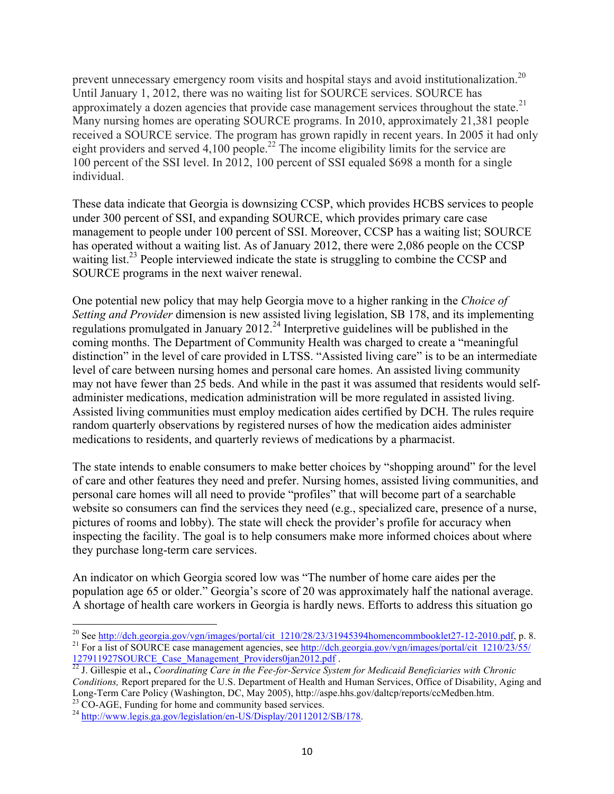prevent unnecessary emergency room visits and hospital stays and avoid institutionalization.<sup>20</sup> Until January 1, 2012, there was no waiting list for SOURCE services. SOURCE has approximately a dozen agencies that provide case management services throughout the state.<sup>21</sup> Many nursing homes are operating SOURCE programs. In 2010, approximately 21,381 people received a SOURCE service. The program has grown rapidly in recent years. In 2005 it had only eight providers and served  $4,100$  people.<sup>22</sup> The income eligibility limits for the service are 100 percent of the SSI level. In 2012, 100 percent of SSI equaled \$698 a month for a single individual.

These data indicate that Georgia is downsizing CCSP, which provides HCBS services to people under 300 percent of SSI, and expanding SOURCE, which provides primary care case management to people under 100 percent of SSI. Moreover, CCSP has a waiting list; SOURCE has operated without a waiting list. As of January 2012, there were 2,086 people on the CCSP waiting list.<sup>23</sup> People interviewed indicate the state is struggling to combine the CCSP and SOURCE programs in the next waiver renewal.

One potential new policy that may help Georgia move to a higher ranking in the *Choice of Setting and Provider* dimension is new assisted living legislation, SB 178, and its implementing regulations promulgated in January 2012.<sup>24</sup> Interpretive guidelines will be published in the coming months. The Department of Community Health was charged to create a "meaningful distinction" in the level of care provided in LTSS. "Assisted living care" is to be an intermediate level of care between nursing homes and personal care homes. An assisted living community may not have fewer than 25 beds. And while in the past it was assumed that residents would selfadminister medications, medication administration will be more regulated in assisted living. Assisted living communities must employ medication aides certified by DCH. The rules require random quarterly observations by registered nurses of how the medication aides administer medications to residents, and quarterly reviews of medications by a pharmacist.

The state intends to enable consumers to make better choices by "shopping around" for the level of care and other features they need and prefer. Nursing homes, assisted living communities, and personal care homes will all need to provide "profiles" that will become part of a searchable website so consumers can find the services they need (e.g., specialized care, presence of a nurse, pictures of rooms and lobby). The state will check the provider's profile for accuracy when inspecting the facility. The goal is to help consumers make more informed choices about where they purchase long-term care services.

An indicator on which Georgia scored low was "The number of home care aides per the population age 65 or older." Georgia's score of 20 was approximately half the national average. A shortage of health care workers in Georgia is hardly news. Efforts to address this situation go

<sup>&</sup>lt;sup>20</sup> See http://dch.georgia.gov/vgn/images/portal/cit\_1210/28/23/31945394homencommbooklet27-12-2010.pdf, p. 8. <sup>21</sup> For a list of SOURCE case management agencies, see http://dch.georgia.gov/vgn/images/portal/cit\_1210/23/5

<sup>127911927</sup>SOURCE\_Case\_Management\_Providers0jan2012.pdf . 22 J. Gillespie et al.**,** *Coordinating Care in the Fee-for-Service System for Medicaid Beneficiaries with Chronic* 

*Conditions,* Report prepared for the U.S. Department of Health and Human Services, Office of Disability, Aging and Long-Term Care Policy (Washington, DC, May 2005), http://aspe.hhs.gov/daltcp/reports/ccMedben.htm.<br><sup>23</sup> CO-AGE, Funding for home and community based services.<br><sup>24</sup> http://www.legis.ga.gov/legislation/en-US/Display/20112012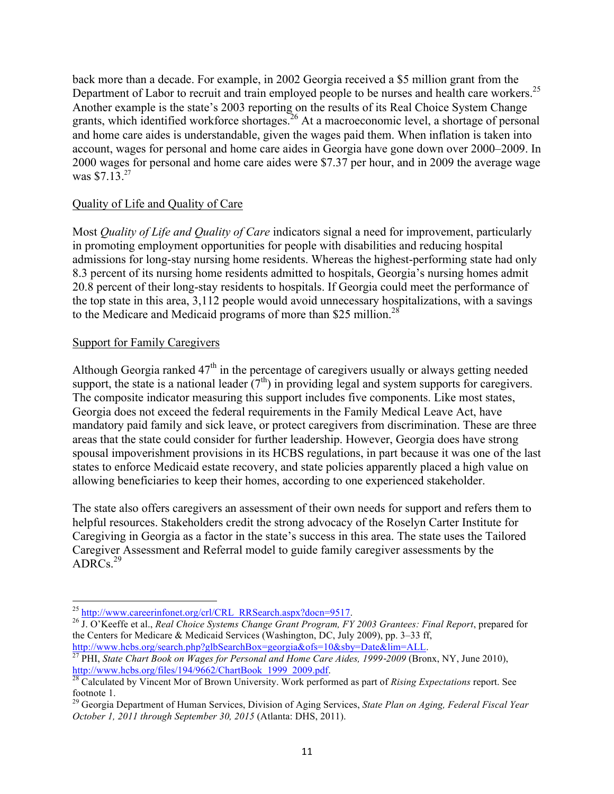back more than a decade. For example, in 2002 Georgia received a \$5 million grant from the Department of Labor to recruit and train employed people to be nurses and health care workers.<sup>25</sup> Another example is the state's 2003 reporting on the results of its Real Choice System Change grants, which identified workforce shortages.<sup>26</sup> At a macroeconomic level, a shortage of personal and home care aides is understandable, given the wages paid them. When inflation is taken into account, wages for personal and home care aides in Georgia have gone down over 2000–2009. In 2000 wages for personal and home care aides were \$7.37 per hour, and in 2009 the average wage was \$7.13.<sup>27</sup>

#### Quality of Life and Quality of Care

Most *Quality of Life and Quality of Care* indicators signal a need for improvement, particularly in promoting employment opportunities for people with disabilities and reducing hospital admissions for long-stay nursing home residents. Whereas the highest-performing state had only 8.3 percent of its nursing home residents admitted to hospitals, Georgia's nursing homes admit 20.8 percent of their long-stay residents to hospitals. If Georgia could meet the performance of the top state in this area, 3,112 people would avoid unnecessary hospitalizations, with a savings to the Medicare and Medicaid programs of more than \$25 million.<sup>28</sup>

#### Support for Family Caregivers

Although Georgia ranked  $47<sup>th</sup>$  in the percentage of caregivers usually or always getting needed support, the state is a national leader  $(7<sup>th</sup>)$  in providing legal and system supports for caregivers. The composite indicator measuring this support includes five components. Like most states, Georgia does not exceed the federal requirements in the Family Medical Leave Act, have mandatory paid family and sick leave, or protect caregivers from discrimination. These are three areas that the state could consider for further leadership. However, Georgia does have strong spousal impoverishment provisions in its HCBS regulations, in part because it was one of the last states to enforce Medicaid estate recovery, and state policies apparently placed a high value on allowing beneficiaries to keep their homes, according to one experienced stakeholder.

The state also offers caregivers an assessment of their own needs for support and refers them to helpful resources. Stakeholders credit the strong advocacy of the Roselyn Carter Institute for Caregiving in Georgia as a factor in the state's success in this area. The state uses the Tailored Caregiver Assessment and Referral model to guide family caregiver assessments by the  $ADRCs.<sup>29</sup>$ 

<sup>25</sup> http://www.careerinfonet.org/crl/CRL\_RRSearch.aspx?docn=9517. 26 J. O'Keeffe et al., *Real Choice Systems Change Grant Program, FY 2003 Grantees: Final Report*, prepared for the Centers for Medicare & Medicaid Services (Washington, DC, July 2009), pp. 3–33 ff, http://www.hcbs.org/search.php?glbSearchBox=georgia&ofs=10&sby=Date&lim=ALL.

<sup>&</sup>lt;sup>27</sup> PHI, *State Chart Book on Wages for Personal and Home Care Aides, 1999-2009* (Bronx, NY, June 2010), http://www.hcbs.org/files/194/9662/ChartBook 1999 2009.pdf.

http://www.hcbs.org/files/194/9662/ChartBook\_1999\_2009.pdf. <sup>28</sup> Calculated by Vincent Mor of Brown University. Work performed as part of *Rising Expectations* report. See

footnote 1. <sup>29</sup> Georgia Department of Human Services, Division of Aging Services, *State Plan on Aging, Federal Fiscal Year October 1, 2011 through September 30, 2015* (Atlanta: DHS, 2011).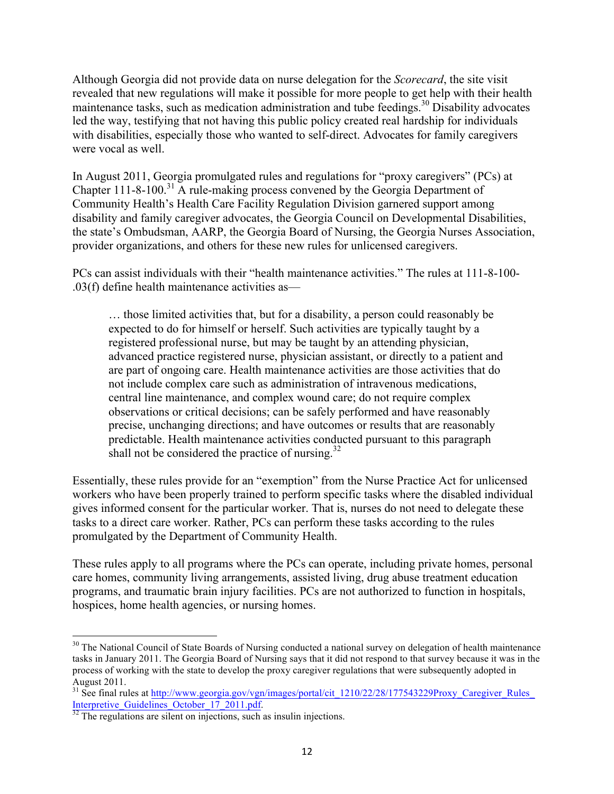Although Georgia did not provide data on nurse delegation for the *Scorecard*, the site visit revealed that new regulations will make it possible for more people to get help with their health maintenance tasks, such as medication administration and tube feedings.<sup>30</sup> Disability advocates led the way, testifying that not having this public policy created real hardship for individuals with disabilities, especially those who wanted to self-direct. Advocates for family caregivers were vocal as well.

In August 2011, Georgia promulgated rules and regulations for "proxy caregivers" (PCs) at Chapter 111-8-100. <sup>31</sup> A rule-making process convened by the Georgia Department of Community Health's Health Care Facility Regulation Division garnered support among disability and family caregiver advocates, the Georgia Council on Developmental Disabilities, the state's Ombudsman, AARP, the Georgia Board of Nursing, the Georgia Nurses Association, provider organizations, and others for these new rules for unlicensed caregivers.

PCs can assist individuals with their "health maintenance activities." The rules at 111-8-100- .03(f) define health maintenance activities as—

… those limited activities that, but for a disability, a person could reasonably be expected to do for himself or herself. Such activities are typically taught by a registered professional nurse, but may be taught by an attending physician, advanced practice registered nurse, physician assistant, or directly to a patient and are part of ongoing care. Health maintenance activities are those activities that do not include complex care such as administration of intravenous medications, central line maintenance, and complex wound care; do not require complex observations or critical decisions; can be safely performed and have reasonably precise, unchanging directions; and have outcomes or results that are reasonably predictable. Health maintenance activities conducted pursuant to this paragraph shall not be considered the practice of nursing. $32$ 

Essentially, these rules provide for an "exemption" from the Nurse Practice Act for unlicensed workers who have been properly trained to perform specific tasks where the disabled individual gives informed consent for the particular worker. That is, nurses do not need to delegate these tasks to a direct care worker. Rather, PCs can perform these tasks according to the rules promulgated by the Department of Community Health.

These rules apply to all programs where the PCs can operate, including private homes, personal care homes, community living arrangements, assisted living, drug abuse treatment education programs, and traumatic brain injury facilities. PCs are not authorized to function in hospitals, hospices, home health agencies, or nursing homes.

<sup>&</sup>lt;sup>30</sup> The National Council of State Boards of Nursing conducted a national survey on delegation of health maintenance tasks in January 2011. The Georgia Board of Nursing says that it did not respond to that survey because it was in the process of working with the state to develop the proxy caregiver regulations that were subsequently adopted in August 2011.

<sup>&</sup>lt;sup>31</sup> See final rules at http://www.georgia.gov/vgn/images/portal/cit\_1210/22/28/177543229Proxy\_Caregiver\_Rules\_ Interpretive\_Guidelines\_October\_17\_2011.pdf.<br><sup>32</sup> The regulations are silent on injections, such as insulin injections.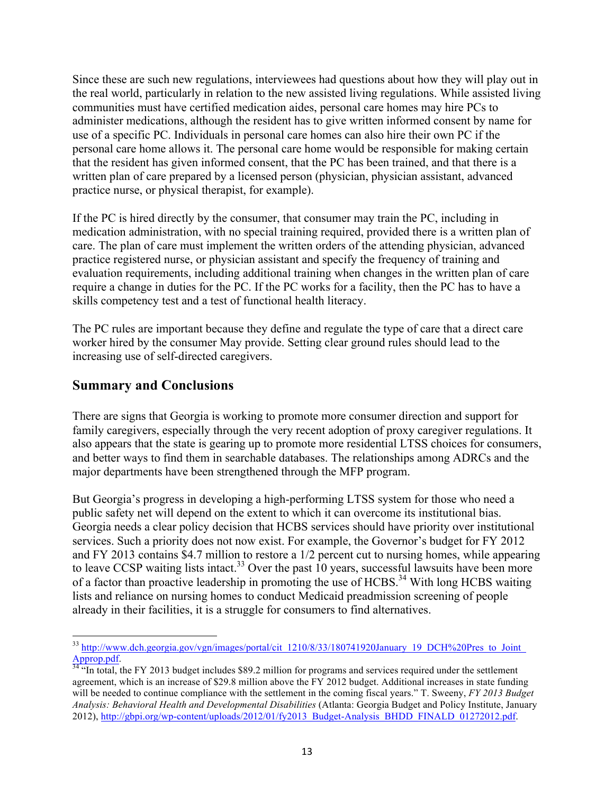Since these are such new regulations, interviewees had questions about how they will play out in the real world, particularly in relation to the new assisted living regulations. While assisted living communities must have certified medication aides, personal care homes may hire PCs to administer medications, although the resident has to give written informed consent by name for use of a specific PC. Individuals in personal care homes can also hire their own PC if the personal care home allows it. The personal care home would be responsible for making certain that the resident has given informed consent, that the PC has been trained, and that there is a written plan of care prepared by a licensed person (physician, physician assistant, advanced practice nurse, or physical therapist, for example).

If the PC is hired directly by the consumer, that consumer may train the PC, including in medication administration, with no special training required, provided there is a written plan of care. The plan of care must implement the written orders of the attending physician, advanced practice registered nurse, or physician assistant and specify the frequency of training and evaluation requirements, including additional training when changes in the written plan of care require a change in duties for the PC. If the PC works for a facility, then the PC has to have a skills competency test and a test of functional health literacy.

The PC rules are important because they define and regulate the type of care that a direct care worker hired by the consumer May provide. Setting clear ground rules should lead to the increasing use of self-directed caregivers.

### **Summary and Conclusions**

There are signs that Georgia is working to promote more consumer direction and support for family caregivers, especially through the very recent adoption of proxy caregiver regulations. It also appears that the state is gearing up to promote more residential LTSS choices for consumers, and better ways to find them in searchable databases. The relationships among ADRCs and the major departments have been strengthened through the MFP program.

But Georgia's progress in developing a high-performing LTSS system for those who need a public safety net will depend on the extent to which it can overcome its institutional bias. Georgia needs a clear policy decision that HCBS services should have priority over institutional services. Such a priority does not now exist. For example, the Governor's budget for FY 2012 and FY 2013 contains \$4.7 million to restore a 1/2 percent cut to nursing homes, while appearing to leave CCSP waiting lists intact.<sup>33</sup> Over the past 10 years, successful lawsuits have been more of a factor than proactive leadership in promoting the use of HCBS.<sup>34</sup> With long HCBS waiting lists and reliance on nursing homes to conduct Medicaid preadmission screening of people already in their facilities, it is a struggle for consumers to find alternatives.

<sup>&</sup>lt;sup>33</sup> http://www.dch.georgia.gov/vgn/images/portal/cit\_1210/8/33/180741920January\_19\_DCH%20Pres\_to\_Joint\_

 $\frac{\text{Approp.pdf}}{34}$  "In total, the FY 2013 budget includes \$89.2 million for programs and services required under the settlement agreement, which is an increase of \$29.8 million above the FY 2012 budget. Additional increases in state funding will be needed to continue compliance with the settlement in the coming fiscal years." T. Sweeny, *FY 2013 Budget Analysis: Behavioral Health and Developmental Disabilities* (Atlanta: Georgia Budget and Policy Institute, January 2012), http://gbpi.org/wp-content/uploads/2012/01/fy2013\_Budget-Analysis\_BHDD\_FINALD\_01272012.pdf.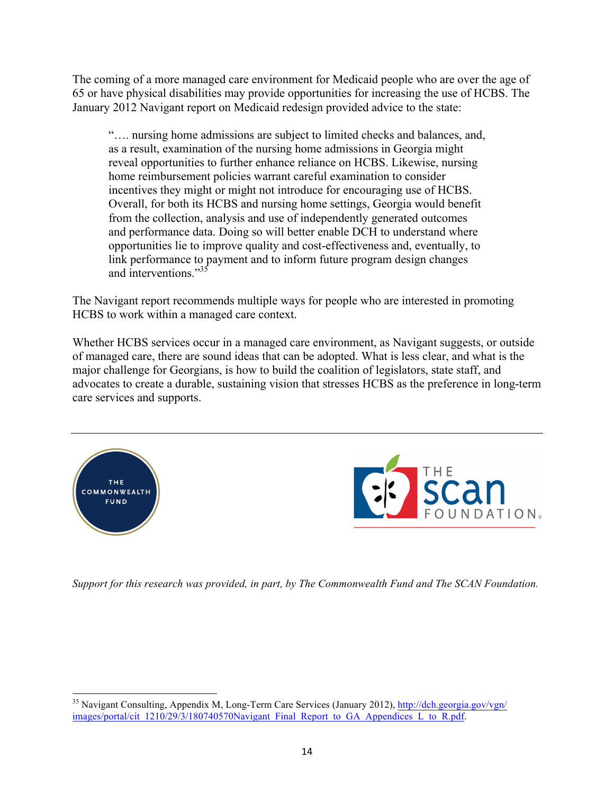The coming of a more managed care environment for Medicaid people who are over the age of 65 or have physical disabilities may provide opportunities for increasing the use of HCBS. The January 2012 Navigant report on Medicaid redesign provided advice to the state:

"…. nursing home admissions are subject to limited checks and balances, and, as a result, examination of the nursing home admissions in Georgia might reveal opportunities to further enhance reliance on HCBS. Likewise, nursing home reimbursement policies warrant careful examination to consider incentives they might or might not introduce for encouraging use of HCBS. Overall, for both its HCBS and nursing home settings, Georgia would benefit from the collection, analysis and use of independently generated outcomes and performance data. Doing so will better enable DCH to understand where opportunities lie to improve quality and cost-effectiveness and, eventually, to link performance to payment and to inform future program design changes and interventions."<sup>35</sup>

The Navigant report recommends multiple ways for people who are interested in promoting HCBS to work within a managed care context.

Whether HCBS services occur in a managed care environment, as Navigant suggests, or outside of managed care, there are sound ideas that can be adopted. What is less clear, and what is the major challenge for Georgians, is how to build the coalition of legislators, state staff, and advocates to create a durable, sustaining vision that stresses HCBS as the preference in long-term care services and supports.





*Support for this research was provided, in part, by The Commonwealth Fund and The SCAN Foundation.*

<sup>&</sup>lt;sup>35</sup> Navigant Consulting, Appendix M, Long-Term Care Services (January 2012), http://dch.georgia.gov/vgn/ images/portal/cit\_1210/29/3/180740570Navigant\_Final\_Report\_to\_GA\_Appendices\_L\_to\_R.pdf.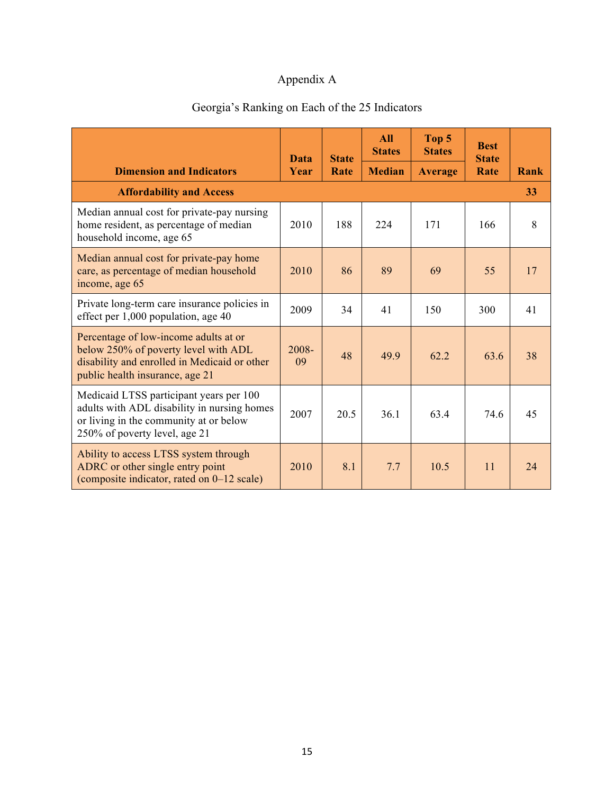## Appendix A

# Georgia's Ranking on Each of the 25 Indicators

|                                                                                                                                                                   | Data        | <b>State</b> | <b>All</b><br><b>States</b> | Top 5<br><b>States</b> | <b>Best</b><br><b>State</b> |      |
|-------------------------------------------------------------------------------------------------------------------------------------------------------------------|-------------|--------------|-----------------------------|------------------------|-----------------------------|------|
| <b>Dimension and Indicators</b>                                                                                                                                   | Year        | Rate         | <b>Median</b>               | <b>Average</b>         | Rate                        | Rank |
| <b>Affordability and Access</b>                                                                                                                                   |             |              |                             |                        |                             | 33   |
| Median annual cost for private-pay nursing<br>home resident, as percentage of median<br>household income, age 65                                                  | 2010        | 188          | 224                         | 171                    | 166                         | 8    |
| Median annual cost for private-pay home<br>care, as percentage of median household<br>income, age 65                                                              | 2010        | 86           | 89                          | 69                     | 55                          | 17   |
| Private long-term care insurance policies in<br>effect per 1,000 population, age 40                                                                               | 2009        | 34           | 41                          | 150                    | 300                         | 41   |
| Percentage of low-income adults at or<br>below 250% of poverty level with ADL<br>disability and enrolled in Medicaid or other<br>public health insurance, age 21  | 2008-<br>09 | 48           | 49.9                        | 62.2                   | 63.6                        | 38   |
| Medicaid LTSS participant years per 100<br>adults with ADL disability in nursing homes<br>or living in the community at or below<br>250% of poverty level, age 21 | 2007        | 20.5         | 36.1                        | 63.4                   | 74.6                        | 45   |
| Ability to access LTSS system through<br>ADRC or other single entry point<br>(composite indicator, rated on 0–12 scale)                                           | 2010        | 8.1          | 7.7                         | 10.5                   | 11                          | 24   |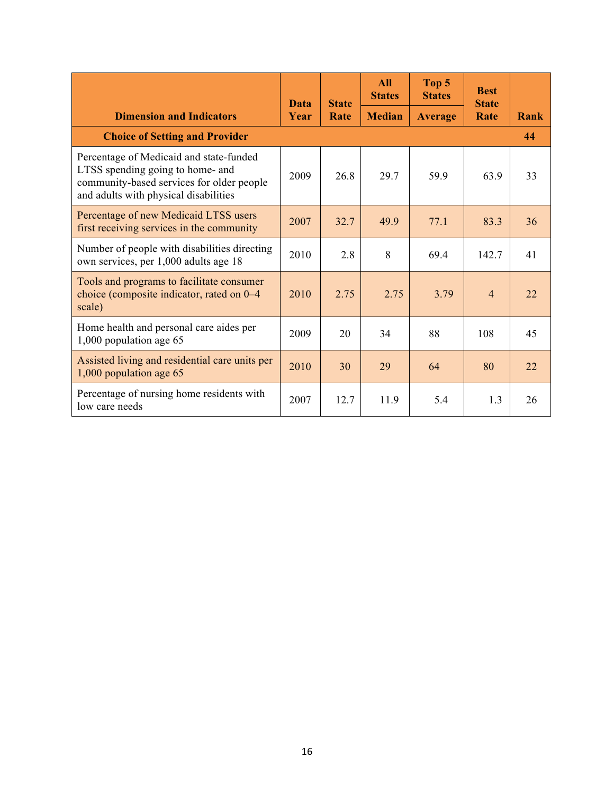|                                                                                                                                                                   | <b>Data</b> | <b>State</b> | <b>All</b><br><b>States</b> | Top 5<br><b>States</b> | <b>Best</b><br><b>State</b> |      |
|-------------------------------------------------------------------------------------------------------------------------------------------------------------------|-------------|--------------|-----------------------------|------------------------|-----------------------------|------|
| <b>Dimension and Indicators</b>                                                                                                                                   | Year        | Rate         | <b>Median</b>               | <b>Average</b>         | Rate                        | Rank |
| <b>Choice of Setting and Provider</b>                                                                                                                             |             |              |                             |                        |                             | 44   |
| Percentage of Medicaid and state-funded<br>LTSS spending going to home- and<br>community-based services for older people<br>and adults with physical disabilities | 2009        | 26.8         | 29.7                        | 59.9                   | 63.9                        | 33   |
| Percentage of new Medicaid LTSS users<br>first receiving services in the community                                                                                | 2007        | 32.7         | 499                         | 77.1                   | 83.3                        | 36   |
| Number of people with disabilities directing<br>own services, per 1,000 adults age 18                                                                             | 2010        | 2.8          | 8                           | 69.4                   | 142.7                       | 41   |
| Tools and programs to facilitate consumer<br>choice (composite indicator, rated on 0–4<br>scale)                                                                  | 2010        | 2.75         | 2.75                        | 3.79                   | $\overline{4}$              | 22   |
| Home health and personal care aides per<br>1,000 population age 65                                                                                                | 2009        | 20           | 34                          | 88                     | 108                         | 45   |
| Assisted living and residential care units per<br>1,000 population age 65                                                                                         | 2010        | 30           | 29                          | 64                     | 80                          | 22   |
| Percentage of nursing home residents with<br>low care needs                                                                                                       | 2007        | 12.7         | 11.9                        | 5.4                    | 1.3                         | 26   |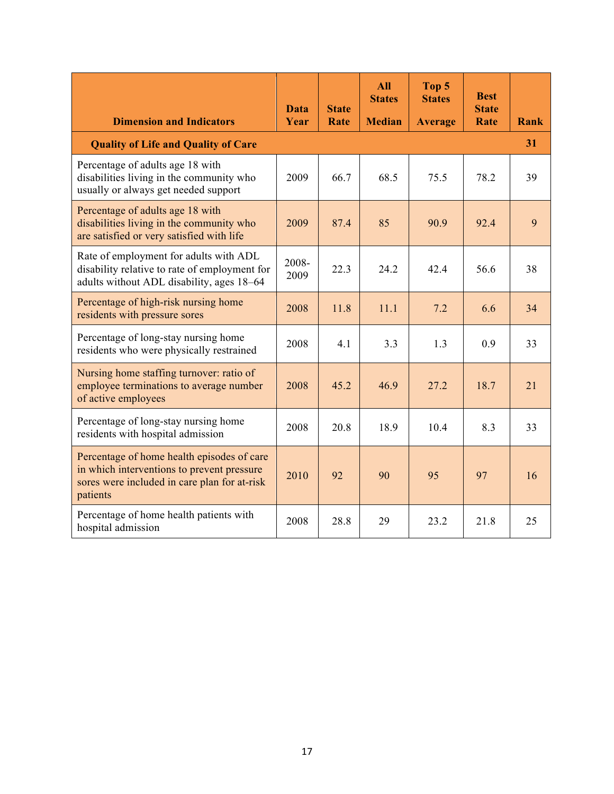|                                                                                                                                                      | Data          | <b>State</b> | <b>All</b><br><b>States</b> | Top 5<br><b>States</b> | <b>Best</b><br><b>State</b> |      |
|------------------------------------------------------------------------------------------------------------------------------------------------------|---------------|--------------|-----------------------------|------------------------|-----------------------------|------|
| <b>Dimension and Indicators</b>                                                                                                                      | Year          | Rate         | <b>Median</b>               | <b>Average</b>         | Rate                        | Rank |
| <b>Quality of Life and Quality of Care</b>                                                                                                           |               |              |                             |                        |                             | 31   |
| Percentage of adults age 18 with<br>disabilities living in the community who<br>usually or always get needed support                                 | 2009          | 66.7         | 68.5                        | 75.5                   | 78.2                        | 39   |
| Percentage of adults age 18 with<br>disabilities living in the community who<br>are satisfied or very satisfied with life                            | 2009          | 87.4         | 85                          | 90.9                   | 92.4                        | 9    |
| Rate of employment for adults with ADL<br>disability relative to rate of employment for<br>adults without ADL disability, ages 18–64                 | 2008-<br>2009 | 22.3         | 24.2                        | 42.4                   | 56.6                        | 38   |
| Percentage of high-risk nursing home<br>residents with pressure sores                                                                                | 2008          | 11.8         | 11.1                        | 7.2                    | 6.6                         | 34   |
| Percentage of long-stay nursing home<br>residents who were physically restrained                                                                     | 2008          | 4.1          | 3.3                         | 1.3                    | 0.9                         | 33   |
| Nursing home staffing turnover: ratio of<br>employee terminations to average number<br>of active employees                                           | 2008          | 45.2         | 46.9                        | 27.2                   | 18.7                        | 21   |
| Percentage of long-stay nursing home<br>residents with hospital admission                                                                            | 2008          | 20.8         | 18.9                        | 10.4                   | 8.3                         | 33   |
| Percentage of home health episodes of care<br>in which interventions to prevent pressure<br>sores were included in care plan for at-risk<br>patients | 2010          | 92           | 90                          | 95                     | 97                          | 16   |
| Percentage of home health patients with<br>hospital admission                                                                                        | 2008          | 28.8         | 29                          | 23.2                   | 21.8                        | 25   |